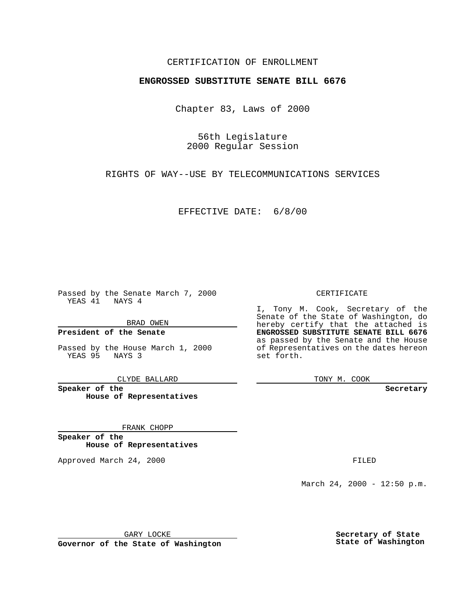#### CERTIFICATION OF ENROLLMENT

# **ENGROSSED SUBSTITUTE SENATE BILL 6676**

Chapter 83, Laws of 2000

56th Legislature 2000 Regular Session

RIGHTS OF WAY--USE BY TELECOMMUNICATIONS SERVICES

EFFECTIVE DATE: 6/8/00

Passed by the Senate March 7, 2000 YEAS 41 NAYS 4

BRAD OWEN

**President of the Senate**

Passed by the House March 1, 2000 YEAS 95 NAYS 3

CLYDE BALLARD

**Speaker of the House of Representatives**

FRANK CHOPP

**Speaker of the House of Representatives**

Approved March 24, 2000 FILED

#### CERTIFICATE

I, Tony M. Cook, Secretary of the Senate of the State of Washington, do hereby certify that the attached is **ENGROSSED SUBSTITUTE SENATE BILL 6676** as passed by the Senate and the House of Representatives on the dates hereon set forth.

TONY M. COOK

**Secretary**

March 24, 2000 - 12:50 p.m.

GARY LOCKE

**Governor of the State of Washington**

**Secretary of State State of Washington**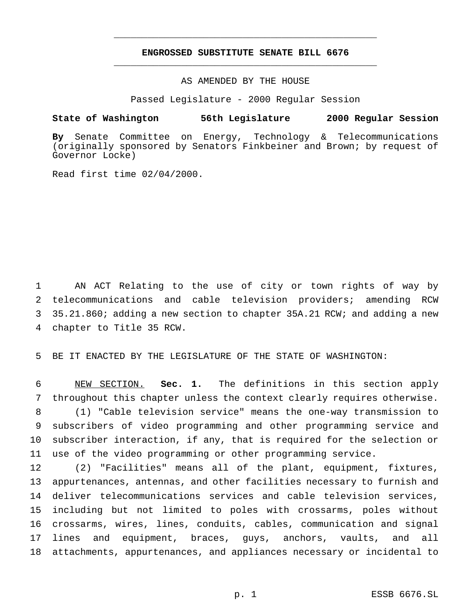## **ENGROSSED SUBSTITUTE SENATE BILL 6676** \_\_\_\_\_\_\_\_\_\_\_\_\_\_\_\_\_\_\_\_\_\_\_\_\_\_\_\_\_\_\_\_\_\_\_\_\_\_\_\_\_\_\_\_\_\_\_

\_\_\_\_\_\_\_\_\_\_\_\_\_\_\_\_\_\_\_\_\_\_\_\_\_\_\_\_\_\_\_\_\_\_\_\_\_\_\_\_\_\_\_\_\_\_\_

## AS AMENDED BY THE HOUSE

Passed Legislature - 2000 Regular Session

#### **State of Washington 56th Legislature 2000 Regular Session**

**By** Senate Committee on Energy, Technology & Telecommunications (originally sponsored by Senators Finkbeiner and Brown; by request of Governor Locke)

Read first time 02/04/2000.

 AN ACT Relating to the use of city or town rights of way by telecommunications and cable television providers; amending RCW 35.21.860; adding a new section to chapter 35A.21 RCW; and adding a new chapter to Title 35 RCW.

BE IT ENACTED BY THE LEGISLATURE OF THE STATE OF WASHINGTON:

 NEW SECTION. **Sec. 1.** The definitions in this section apply throughout this chapter unless the context clearly requires otherwise. (1) "Cable television service" means the one-way transmission to subscribers of video programming and other programming service and subscriber interaction, if any, that is required for the selection or use of the video programming or other programming service.

 (2) "Facilities" means all of the plant, equipment, fixtures, appurtenances, antennas, and other facilities necessary to furnish and deliver telecommunications services and cable television services, including but not limited to poles with crossarms, poles without crossarms, wires, lines, conduits, cables, communication and signal lines and equipment, braces, guys, anchors, vaults, and all attachments, appurtenances, and appliances necessary or incidental to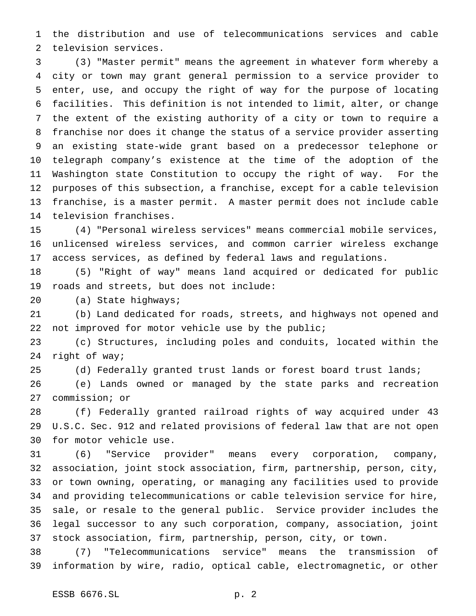the distribution and use of telecommunications services and cable television services.

 (3) "Master permit" means the agreement in whatever form whereby a city or town may grant general permission to a service provider to enter, use, and occupy the right of way for the purpose of locating facilities. This definition is not intended to limit, alter, or change the extent of the existing authority of a city or town to require a franchise nor does it change the status of a service provider asserting an existing state-wide grant based on a predecessor telephone or telegraph company's existence at the time of the adoption of the Washington state Constitution to occupy the right of way. For the purposes of this subsection, a franchise, except for a cable television franchise, is a master permit. A master permit does not include cable television franchises.

 (4) "Personal wireless services" means commercial mobile services, unlicensed wireless services, and common carrier wireless exchange access services, as defined by federal laws and regulations.

 (5) "Right of way" means land acquired or dedicated for public roads and streets, but does not include:

(a) State highways;

 (b) Land dedicated for roads, streets, and highways not opened and not improved for motor vehicle use by the public;

 (c) Structures, including poles and conduits, located within the right of way;

(d) Federally granted trust lands or forest board trust lands;

 (e) Lands owned or managed by the state parks and recreation commission; or

 (f) Federally granted railroad rights of way acquired under 43 U.S.C. Sec. 912 and related provisions of federal law that are not open for motor vehicle use.

 (6) "Service provider" means every corporation, company, association, joint stock association, firm, partnership, person, city, or town owning, operating, or managing any facilities used to provide and providing telecommunications or cable television service for hire, sale, or resale to the general public. Service provider includes the legal successor to any such corporation, company, association, joint stock association, firm, partnership, person, city, or town.

 (7) "Telecommunications service" means the transmission of information by wire, radio, optical cable, electromagnetic, or other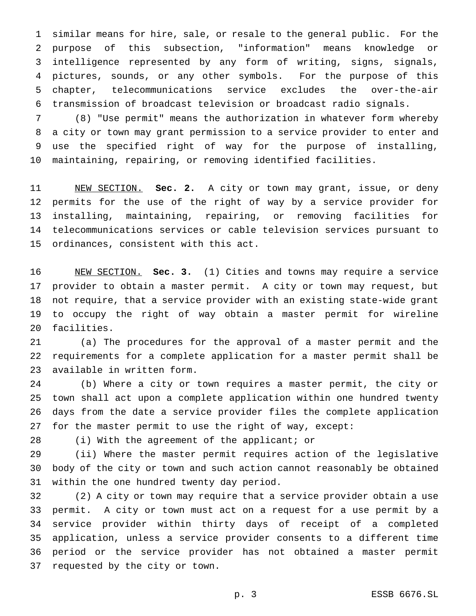similar means for hire, sale, or resale to the general public. For the purpose of this subsection, "information" means knowledge or intelligence represented by any form of writing, signs, signals, pictures, sounds, or any other symbols. For the purpose of this chapter, telecommunications service excludes the over-the-air transmission of broadcast television or broadcast radio signals.

 (8) "Use permit" means the authorization in whatever form whereby a city or town may grant permission to a service provider to enter and use the specified right of way for the purpose of installing, maintaining, repairing, or removing identified facilities.

 NEW SECTION. **Sec. 2.** A city or town may grant, issue, or deny permits for the use of the right of way by a service provider for installing, maintaining, repairing, or removing facilities for telecommunications services or cable television services pursuant to ordinances, consistent with this act.

 NEW SECTION. **Sec. 3.** (1) Cities and towns may require a service provider to obtain a master permit. A city or town may request, but not require, that a service provider with an existing state-wide grant to occupy the right of way obtain a master permit for wireline facilities.

 (a) The procedures for the approval of a master permit and the requirements for a complete application for a master permit shall be available in written form.

 (b) Where a city or town requires a master permit, the city or town shall act upon a complete application within one hundred twenty days from the date a service provider files the complete application for the master permit to use the right of way, except:

(i) With the agreement of the applicant; or

 (ii) Where the master permit requires action of the legislative body of the city or town and such action cannot reasonably be obtained within the one hundred twenty day period.

 (2) A city or town may require that a service provider obtain a use permit. A city or town must act on a request for a use permit by a service provider within thirty days of receipt of a completed application, unless a service provider consents to a different time period or the service provider has not obtained a master permit requested by the city or town.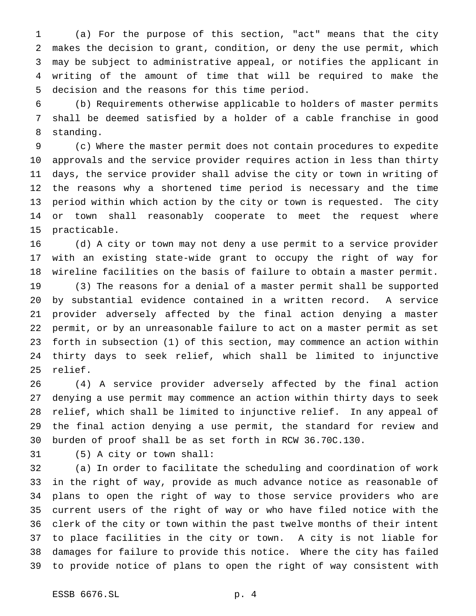(a) For the purpose of this section, "act" means that the city makes the decision to grant, condition, or deny the use permit, which may be subject to administrative appeal, or notifies the applicant in writing of the amount of time that will be required to make the decision and the reasons for this time period.

 (b) Requirements otherwise applicable to holders of master permits shall be deemed satisfied by a holder of a cable franchise in good standing.

 (c) Where the master permit does not contain procedures to expedite approvals and the service provider requires action in less than thirty days, the service provider shall advise the city or town in writing of the reasons why a shortened time period is necessary and the time period within which action by the city or town is requested. The city or town shall reasonably cooperate to meet the request where practicable.

 (d) A city or town may not deny a use permit to a service provider with an existing state-wide grant to occupy the right of way for wireline facilities on the basis of failure to obtain a master permit.

 (3) The reasons for a denial of a master permit shall be supported by substantial evidence contained in a written record. A service provider adversely affected by the final action denying a master permit, or by an unreasonable failure to act on a master permit as set forth in subsection (1) of this section, may commence an action within thirty days to seek relief, which shall be limited to injunctive relief.

 (4) A service provider adversely affected by the final action denying a use permit may commence an action within thirty days to seek relief, which shall be limited to injunctive relief. In any appeal of the final action denying a use permit, the standard for review and burden of proof shall be as set forth in RCW 36.70C.130.

(5) A city or town shall:

 (a) In order to facilitate the scheduling and coordination of work in the right of way, provide as much advance notice as reasonable of plans to open the right of way to those service providers who are current users of the right of way or who have filed notice with the clerk of the city or town within the past twelve months of their intent to place facilities in the city or town. A city is not liable for damages for failure to provide this notice. Where the city has failed to provide notice of plans to open the right of way consistent with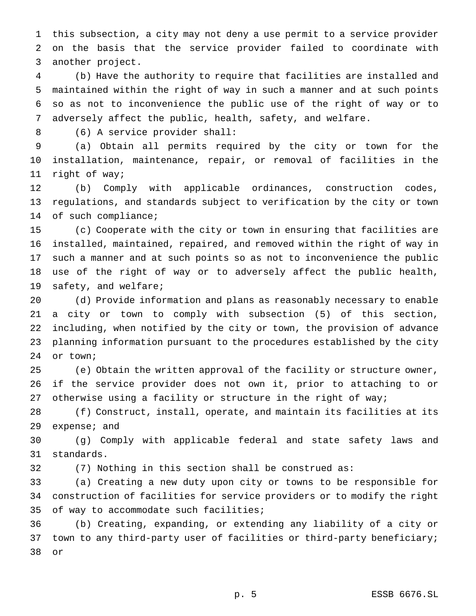this subsection, a city may not deny a use permit to a service provider on the basis that the service provider failed to coordinate with another project.

 (b) Have the authority to require that facilities are installed and maintained within the right of way in such a manner and at such points so as not to inconvenience the public use of the right of way or to adversely affect the public, health, safety, and welfare.

(6) A service provider shall:

 (a) Obtain all permits required by the city or town for the installation, maintenance, repair, or removal of facilities in the right of way;

 (b) Comply with applicable ordinances, construction codes, regulations, and standards subject to verification by the city or town of such compliance;

 (c) Cooperate with the city or town in ensuring that facilities are installed, maintained, repaired, and removed within the right of way in such a manner and at such points so as not to inconvenience the public use of the right of way or to adversely affect the public health, 19 safety, and welfare;

 (d) Provide information and plans as reasonably necessary to enable a city or town to comply with subsection (5) of this section, including, when notified by the city or town, the provision of advance planning information pursuant to the procedures established by the city or town;

 (e) Obtain the written approval of the facility or structure owner, if the service provider does not own it, prior to attaching to or 27 otherwise using a facility or structure in the right of way;

 (f) Construct, install, operate, and maintain its facilities at its expense; and

 (g) Comply with applicable federal and state safety laws and standards.

(7) Nothing in this section shall be construed as:

 (a) Creating a new duty upon city or towns to be responsible for construction of facilities for service providers or to modify the right of way to accommodate such facilities;

 (b) Creating, expanding, or extending any liability of a city or town to any third-party user of facilities or third-party beneficiary; or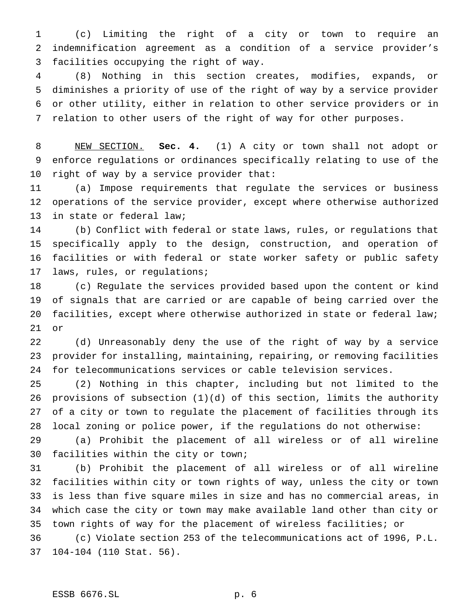(c) Limiting the right of a city or town to require an indemnification agreement as a condition of a service provider's facilities occupying the right of way.

 (8) Nothing in this section creates, modifies, expands, or diminishes a priority of use of the right of way by a service provider or other utility, either in relation to other service providers or in relation to other users of the right of way for other purposes.

 NEW SECTION. **Sec. 4.** (1) A city or town shall not adopt or enforce regulations or ordinances specifically relating to use of the right of way by a service provider that:

 (a) Impose requirements that regulate the services or business operations of the service provider, except where otherwise authorized in state or federal law;

 (b) Conflict with federal or state laws, rules, or regulations that specifically apply to the design, construction, and operation of facilities or with federal or state worker safety or public safety laws, rules, or regulations;

 (c) Regulate the services provided based upon the content or kind of signals that are carried or are capable of being carried over the facilities, except where otherwise authorized in state or federal law; or

 (d) Unreasonably deny the use of the right of way by a service provider for installing, maintaining, repairing, or removing facilities for telecommunications services or cable television services.

 (2) Nothing in this chapter, including but not limited to the provisions of subsection (1)(d) of this section, limits the authority of a city or town to regulate the placement of facilities through its local zoning or police power, if the regulations do not otherwise:

 (a) Prohibit the placement of all wireless or of all wireline facilities within the city or town;

 (b) Prohibit the placement of all wireless or of all wireline facilities within city or town rights of way, unless the city or town is less than five square miles in size and has no commercial areas, in which case the city or town may make available land other than city or town rights of way for the placement of wireless facilities; or

 (c) Violate section 253 of the telecommunications act of 1996, P.L. 104-104 (110 Stat. 56).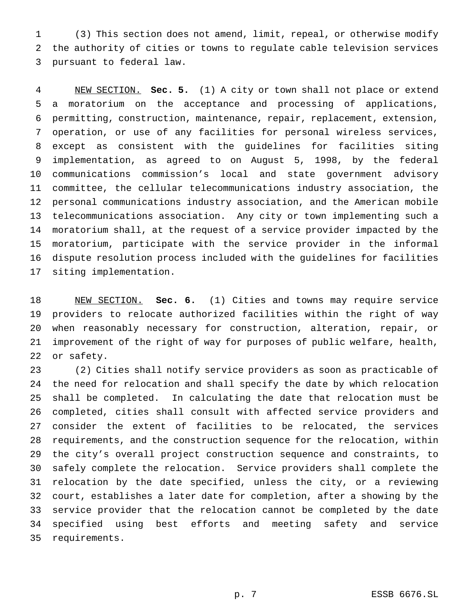(3) This section does not amend, limit, repeal, or otherwise modify the authority of cities or towns to regulate cable television services pursuant to federal law.

 NEW SECTION. **Sec. 5.** (1) A city or town shall not place or extend a moratorium on the acceptance and processing of applications, permitting, construction, maintenance, repair, replacement, extension, operation, or use of any facilities for personal wireless services, except as consistent with the guidelines for facilities siting implementation, as agreed to on August 5, 1998, by the federal communications commission's local and state government advisory committee, the cellular telecommunications industry association, the personal communications industry association, and the American mobile telecommunications association. Any city or town implementing such a moratorium shall, at the request of a service provider impacted by the moratorium, participate with the service provider in the informal dispute resolution process included with the guidelines for facilities siting implementation.

 NEW SECTION. **Sec. 6.** (1) Cities and towns may require service providers to relocate authorized facilities within the right of way when reasonably necessary for construction, alteration, repair, or improvement of the right of way for purposes of public welfare, health, or safety.

 (2) Cities shall notify service providers as soon as practicable of the need for relocation and shall specify the date by which relocation shall be completed. In calculating the date that relocation must be completed, cities shall consult with affected service providers and consider the extent of facilities to be relocated, the services requirements, and the construction sequence for the relocation, within the city's overall project construction sequence and constraints, to safely complete the relocation. Service providers shall complete the relocation by the date specified, unless the city, or a reviewing court, establishes a later date for completion, after a showing by the service provider that the relocation cannot be completed by the date specified using best efforts and meeting safety and service requirements.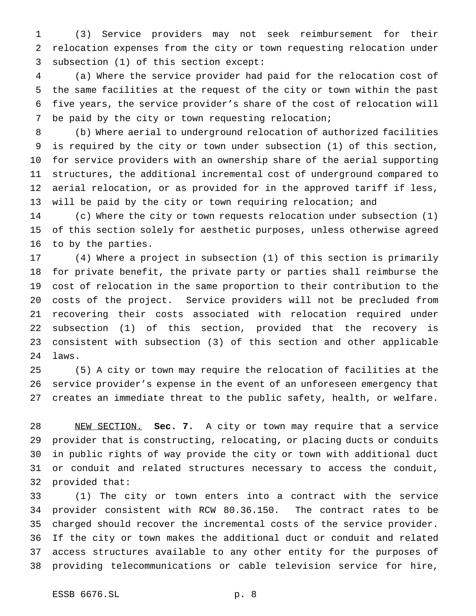(3) Service providers may not seek reimbursement for their relocation expenses from the city or town requesting relocation under subsection (1) of this section except:

 (a) Where the service provider had paid for the relocation cost of the same facilities at the request of the city or town within the past five years, the service provider's share of the cost of relocation will be paid by the city or town requesting relocation;

 (b) Where aerial to underground relocation of authorized facilities is required by the city or town under subsection (1) of this section, for service providers with an ownership share of the aerial supporting structures, the additional incremental cost of underground compared to aerial relocation, or as provided for in the approved tariff if less, will be paid by the city or town requiring relocation; and

 (c) Where the city or town requests relocation under subsection (1) of this section solely for aesthetic purposes, unless otherwise agreed to by the parties.

 (4) Where a project in subsection (1) of this section is primarily for private benefit, the private party or parties shall reimburse the cost of relocation in the same proportion to their contribution to the costs of the project. Service providers will not be precluded from recovering their costs associated with relocation required under subsection (1) of this section, provided that the recovery is consistent with subsection (3) of this section and other applicable laws.

 (5) A city or town may require the relocation of facilities at the service provider's expense in the event of an unforeseen emergency that creates an immediate threat to the public safety, health, or welfare.

 NEW SECTION. **Sec. 7.** A city or town may require that a service provider that is constructing, relocating, or placing ducts or conduits in public rights of way provide the city or town with additional duct or conduit and related structures necessary to access the conduit, provided that:

 (1) The city or town enters into a contract with the service provider consistent with RCW 80.36.150. The contract rates to be charged should recover the incremental costs of the service provider. If the city or town makes the additional duct or conduit and related access structures available to any other entity for the purposes of providing telecommunications or cable television service for hire,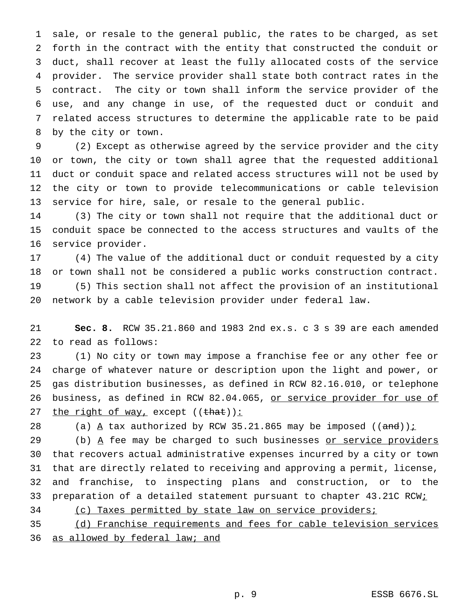sale, or resale to the general public, the rates to be charged, as set forth in the contract with the entity that constructed the conduit or duct, shall recover at least the fully allocated costs of the service provider. The service provider shall state both contract rates in the contract. The city or town shall inform the service provider of the use, and any change in use, of the requested duct or conduit and related access structures to determine the applicable rate to be paid by the city or town.

 (2) Except as otherwise agreed by the service provider and the city or town, the city or town shall agree that the requested additional duct or conduit space and related access structures will not be used by the city or town to provide telecommunications or cable television service for hire, sale, or resale to the general public.

 (3) The city or town shall not require that the additional duct or conduit space be connected to the access structures and vaults of the service provider.

 (4) The value of the additional duct or conduit requested by a city or town shall not be considered a public works construction contract. (5) This section shall not affect the provision of an institutional network by a cable television provider under federal law.

 **Sec. 8.** RCW 35.21.860 and 1983 2nd ex.s. c 3 s 39 are each amended to read as follows:

 (1) No city or town may impose a franchise fee or any other fee or charge of whatever nature or description upon the light and power, or gas distribution businesses, as defined in RCW 82.16.010, or telephone 26 business, as defined in RCW 82.04.065, or service provider for use of 27 the right of way, except ((that)):

28 (a)  $\underline{A}$  tax authorized by RCW 35.21.865 may be imposed ((and)) $\underline{i}$ 

29 (b)  $\overline{A}$  fee may be charged to such businesses or service providers that recovers actual administrative expenses incurred by a city or town that are directly related to receiving and approving a permit, license, and franchise, to inspecting plans and construction, or to the 33 preparation of a detailed statement pursuant to chapter 43.21C RCWi

(c) Taxes permitted by state law on service providers;

(d) Franchise requirements and fees for cable television services

36 as allowed by federal law; and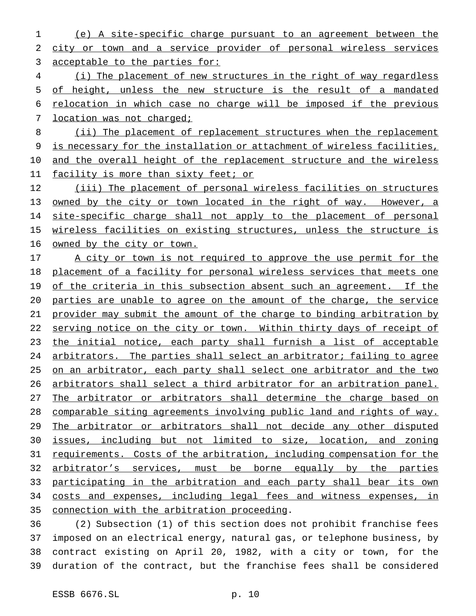(e) A site-specific charge pursuant to an agreement between the city or town and a service provider of personal wireless services acceptable to the parties for:

4 (i) The placement of new structures in the right of way regardless of height, unless the new structure is the result of a mandated relocation in which case no charge will be imposed if the previous 7 location was not charged;

8 (ii) The placement of replacement structures when the replacement is necessary for the installation or attachment of wireless facilities, and the overall height of the replacement structure and the wireless 11 facility is more than sixty feet; or

 (iii) The placement of personal wireless facilities on structures owned by the city or town located in the right of way. However, a 14 site-specific charge shall not apply to the placement of personal 15 wireless facilities on existing structures, unless the structure is owned by the city or town.

17 A city or town is not required to approve the use permit for the placement of a facility for personal wireless services that meets one 19 of the criteria in this subsection absent such an agreement. If the parties are unable to agree on the amount of the charge, the service provider may submit the amount of the charge to binding arbitration by 22 serving notice on the city or town. Within thirty days of receipt of the initial notice, each party shall furnish a list of acceptable arbitrators. The parties shall select an arbitrator; failing to agree on an arbitrator, each party shall select one arbitrator and the two arbitrators shall select a third arbitrator for an arbitration panel. 27 The arbitrator or arbitrators shall determine the charge based on comparable siting agreements involving public land and rights of way. 29 The arbitrator or arbitrators shall not decide any other disputed issues, including but not limited to size, location, and zoning requirements. Costs of the arbitration, including compensation for the 32 arbitrator's services, must be borne equally by the parties participating in the arbitration and each party shall bear its own 34 costs and expenses, including legal fees and witness expenses, in connection with the arbitration proceeding.

 (2) Subsection (1) of this section does not prohibit franchise fees imposed on an electrical energy, natural gas, or telephone business, by contract existing on April 20, 1982, with a city or town, for the duration of the contract, but the franchise fees shall be considered